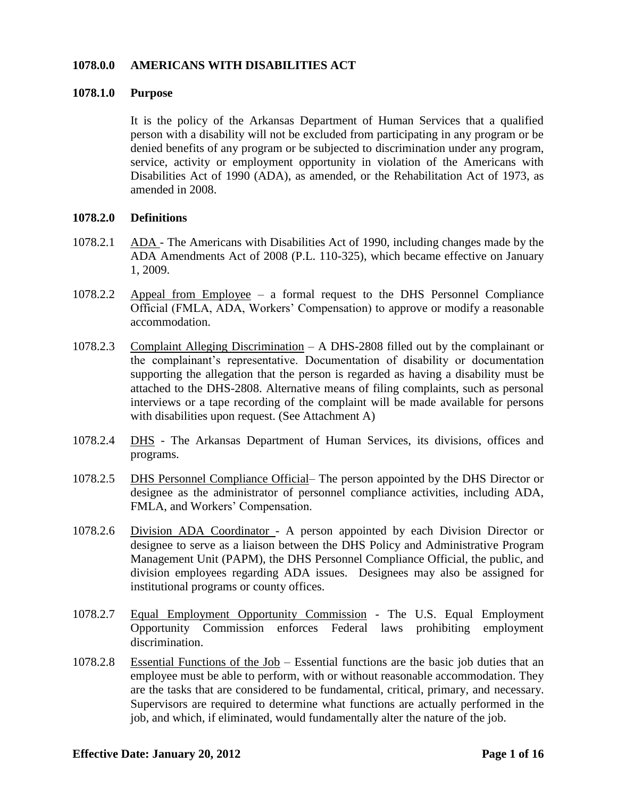## **1078.0.0 AMERICANS WITH DISABILITIES ACT**

#### **1078.1.0 Purpose**

It is the policy of the Arkansas Department of Human Services that a qualified person with a disability will not be excluded from participating in any program or be denied benefits of any program or be subjected to discrimination under any program, service, activity or employment opportunity in violation of the Americans with Disabilities Act of 1990 (ADA), as amended, or the Rehabilitation Act of 1973, as amended in 2008.

## **1078.2.0 Definitions**

- 1078.2.1 ADA The Americans with Disabilities Act of 1990, including changes made by the ADA Amendments Act of 2008 (P.L. 110-325), which became effective on January 1, 2009.
- 1078.2.2 Appeal from Employee a formal request to the DHS Personnel Compliance Official (FMLA, ADA, Workers' Compensation) to approve or modify a reasonable accommodation.
- 1078.2.3 Complaint Alleging Discrimination A DHS-2808 filled out by the complainant or the complainant's representative. Documentation of disability or documentation supporting the allegation that the person is regarded as having a disability must be attached to the DHS-2808. Alternative means of filing complaints, such as personal interviews or a tape recording of the complaint will be made available for persons with disabilities upon request. (See Attachment A)
- 1078.2.4 DHS The Arkansas Department of Human Services, its divisions, offices and programs.
- 1078.2.5 DHS Personnel Compliance Official– The person appointed by the DHS Director or designee as the administrator of personnel compliance activities, including ADA, FMLA, and Workers' Compensation.
- 1078.2.6 Division ADA Coordinator A person appointed by each Division Director or designee to serve as a liaison between the DHS Policy and Administrative Program Management Unit (PAPM), the DHS Personnel Compliance Official, the public, and division employees regarding ADA issues. Designees may also be assigned for institutional programs or county offices.
- 1078.2.7 Equal Employment Opportunity Commission The U.S. Equal Employment Opportunity Commission enforces Federal laws prohibiting employment discrimination.
- 1078.2.8 Essential Functions of the Job Essential functions are the basic job duties that an employee must be able to perform, with or without reasonable accommodation. They are the tasks that are considered to be fundamental, critical, primary, and necessary. Supervisors are required to determine what functions are actually performed in the job, and which, if eliminated, would fundamentally alter the nature of the job.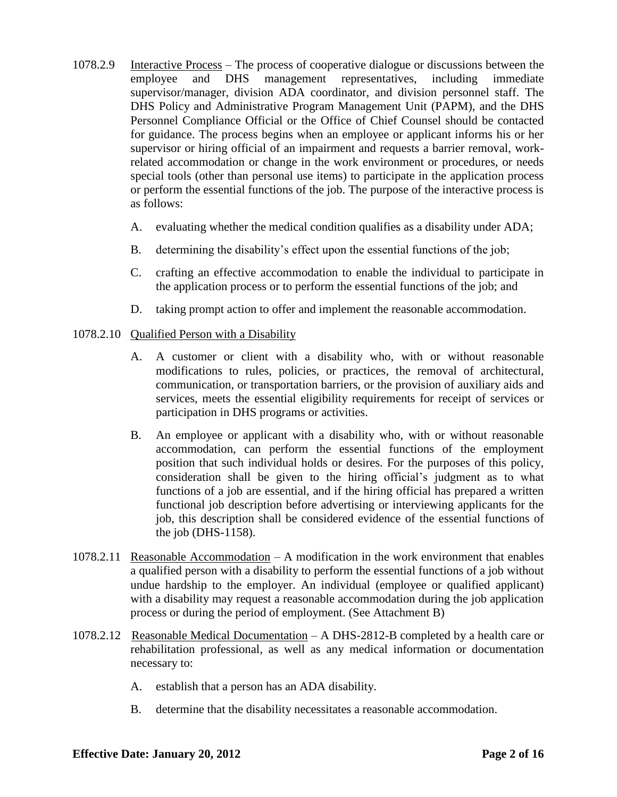- 1078.2.9 Interactive Process The process of cooperative dialogue or discussions between the employee and DHS management representatives, including immediate supervisor/manager, division ADA coordinator, and division personnel staff. The DHS Policy and Administrative Program Management Unit (PAPM), and the DHS Personnel Compliance Official or the Office of Chief Counsel should be contacted for guidance. The process begins when an employee or applicant informs his or her supervisor or hiring official of an impairment and requests a barrier removal, workrelated accommodation or change in the work environment or procedures, or needs special tools (other than personal use items) to participate in the application process or perform the essential functions of the job. The purpose of the interactive process is as follows:
	- A. evaluating whether the medical condition qualifies as a disability under ADA;
	- B. determining the disability's effect upon the essential functions of the job;
	- C. crafting an effective accommodation to enable the individual to participate in the application process or to perform the essential functions of the job; and
	- D. taking prompt action to offer and implement the reasonable accommodation.
- 1078.2.10 Qualified Person with a Disability
	- A. A customer or client with a disability who, with or without reasonable modifications to rules, policies, or practices, the removal of architectural, communication, or transportation barriers, or the provision of auxiliary aids and services, meets the essential eligibility requirements for receipt of services or participation in DHS programs or activities.
	- B. An employee or applicant with a disability who, with or without reasonable accommodation, can perform the essential functions of the employment position that such individual holds or desires. For the purposes of this policy, consideration shall be given to the hiring official's judgment as to what functions of a job are essential, and if the hiring official has prepared a written functional job description before advertising or interviewing applicants for the job, this description shall be considered evidence of the essential functions of the job (DHS-1158).
- 1078.2.11 Reasonable Accommodation A modification in the work environment that enables a qualified person with a disability to perform the essential functions of a job without undue hardship to the employer. An individual (employee or qualified applicant) with a disability may request a reasonable accommodation during the job application process or during the period of employment. (See Attachment B)
- 1078.2.12 Reasonable Medical Documentation A DHS-2812-B completed by a health care or rehabilitation professional, as well as any medical information or documentation necessary to:
	- A. establish that a person has an ADA disability.
	- B. determine that the disability necessitates a reasonable accommodation.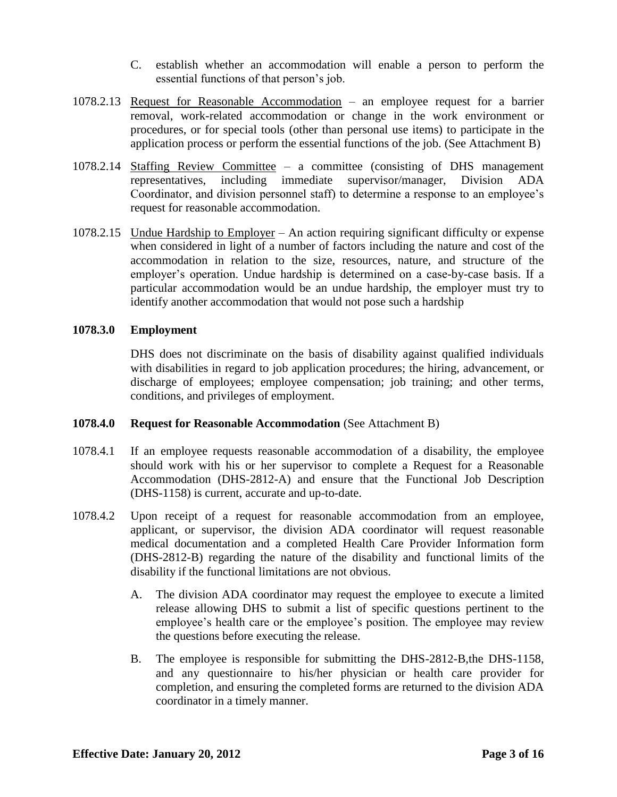- C. establish whether an accommodation will enable a person to perform the essential functions of that person's job.
- 1078.2.13 Request for Reasonable Accommodation an employee request for a barrier removal, work-related accommodation or change in the work environment or procedures, or for special tools (other than personal use items) to participate in the application process or perform the essential functions of the job. (See Attachment B)
- 1078.2.14 Staffing Review Committee a committee (consisting of DHS management representatives, including immediate supervisor/manager, Division ADA Coordinator, and division personnel staff) to determine a response to an employee's request for reasonable accommodation.
- 1078.2.15 Undue Hardship to Employer An action requiring significant difficulty or expense when considered in light of a number of factors including the nature and cost of the accommodation in relation to the size, resources, nature, and structure of the employer's operation. Undue hardship is determined on a case-by-case basis. If a particular accommodation would be an undue hardship, the employer must try to identify another accommodation that would not pose such a hardship

# **1078.3.0 Employment**

DHS does not discriminate on the basis of disability against qualified individuals with disabilities in regard to job application procedures; the hiring, advancement, or discharge of employees; employee compensation; job training; and other terms, conditions, and privileges of employment.

# **1078.4.0 Request for Reasonable Accommodation** (See Attachment B)

- 1078.4.1 If an employee requests reasonable accommodation of a disability, the employee should work with his or her supervisor to complete a Request for a Reasonable Accommodation (DHS-2812-A) and ensure that the Functional Job Description (DHS-1158) is current, accurate and up-to-date.
- 1078.4.2 Upon receipt of a request for reasonable accommodation from an employee, applicant, or supervisor, the division ADA coordinator will request reasonable medical documentation and a completed Health Care Provider Information form (DHS-2812-B) regarding the nature of the disability and functional limits of the disability if the functional limitations are not obvious.
	- A. The division ADA coordinator may request the employee to execute a limited release allowing DHS to submit a list of specific questions pertinent to the employee's health care or the employee's position. The employee may review the questions before executing the release.
	- B. The employee is responsible for submitting the DHS-2812-B,the DHS-1158, and any questionnaire to his/her physician or health care provider for completion, and ensuring the completed forms are returned to the division ADA coordinator in a timely manner.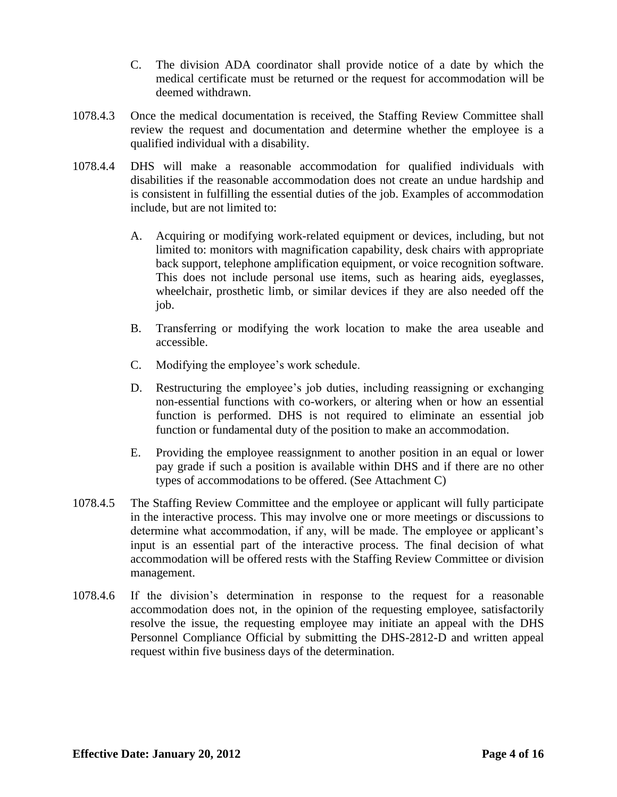- C. The division ADA coordinator shall provide notice of a date by which the medical certificate must be returned or the request for accommodation will be deemed withdrawn.
- 1078.4.3 Once the medical documentation is received, the Staffing Review Committee shall review the request and documentation and determine whether the employee is a qualified individual with a disability.
- 1078.4.4 DHS will make a reasonable accommodation for qualified individuals with disabilities if the reasonable accommodation does not create an undue hardship and is consistent in fulfilling the essential duties of the job. Examples of accommodation include, but are not limited to:
	- A. Acquiring or modifying work-related equipment or devices, including, but not limited to: monitors with magnification capability, desk chairs with appropriate back support, telephone amplification equipment, or voice recognition software. This does not include personal use items, such as hearing aids, eyeglasses, wheelchair, prosthetic limb, or similar devices if they are also needed off the job.
	- B. Transferring or modifying the work location to make the area useable and accessible.
	- C. Modifying the employee's work schedule.
	- D. Restructuring the employee's job duties, including reassigning or exchanging non-essential functions with co-workers, or altering when or how an essential function is performed. DHS is not required to eliminate an essential job function or fundamental duty of the position to make an accommodation.
	- E. Providing the employee reassignment to another position in an equal or lower pay grade if such a position is available within DHS and if there are no other types of accommodations to be offered. (See Attachment C)
- 1078.4.5 The Staffing Review Committee and the employee or applicant will fully participate in the interactive process. This may involve one or more meetings or discussions to determine what accommodation, if any, will be made. The employee or applicant's input is an essential part of the interactive process. The final decision of what accommodation will be offered rests with the Staffing Review Committee or division management.
- 1078.4.6 If the division's determination in response to the request for a reasonable accommodation does not, in the opinion of the requesting employee, satisfactorily resolve the issue, the requesting employee may initiate an appeal with the DHS Personnel Compliance Official by submitting the DHS-2812-D and written appeal request within five business days of the determination.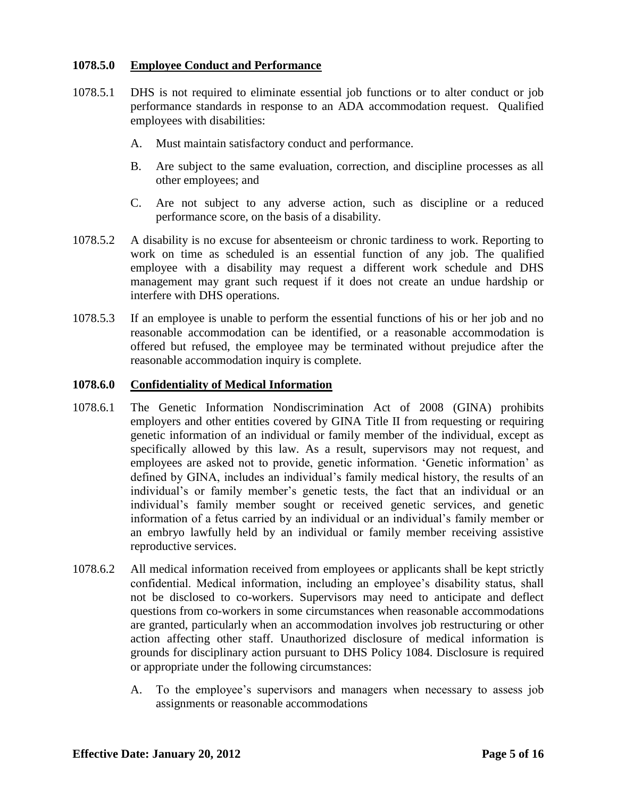## **1078.5.0 Employee Conduct and Performance**

- 1078.5.1 DHS is not required to eliminate essential job functions or to alter conduct or job performance standards in response to an ADA accommodation request. Qualified employees with disabilities:
	- A. Must maintain satisfactory conduct and performance.
	- B. Are subject to the same evaluation, correction, and discipline processes as all other employees; and
	- C. Are not subject to any adverse action, such as discipline or a reduced performance score, on the basis of a disability.
- 1078.5.2 A disability is no excuse for absenteeism or chronic tardiness to work. Reporting to work on time as scheduled is an essential function of any job. The qualified employee with a disability may request a different work schedule and DHS management may grant such request if it does not create an undue hardship or interfere with DHS operations.
- 1078.5.3 If an employee is unable to perform the essential functions of his or her job and no reasonable accommodation can be identified, or a reasonable accommodation is offered but refused, the employee may be terminated without prejudice after the reasonable accommodation inquiry is complete.

## **1078.6.0 Confidentiality of Medical Information**

- 1078.6.1 The Genetic Information Nondiscrimination Act of 2008 (GINA) prohibits employers and other entities covered by GINA Title II from requesting or requiring genetic information of an individual or family member of the individual, except as specifically allowed by this law. As a result, supervisors may not request, and employees are asked not to provide, genetic information. 'Genetic information' as defined by GINA, includes an individual's family medical history, the results of an individual's or family member's genetic tests, the fact that an individual or an individual's family member sought or received genetic services, and genetic information of a fetus carried by an individual or an individual's family member or an embryo lawfully held by an individual or family member receiving assistive reproductive services.
- 1078.6.2 All medical information received from employees or applicants shall be kept strictly confidential. Medical information, including an employee's disability status, shall not be disclosed to co-workers. Supervisors may need to anticipate and deflect questions from co-workers in some circumstances when reasonable accommodations are granted, particularly when an accommodation involves job restructuring or other action affecting other staff. Unauthorized disclosure of medical information is grounds for disciplinary action pursuant to DHS Policy 1084. Disclosure is required or appropriate under the following circumstances:
	- A. To the employee's supervisors and managers when necessary to assess job assignments or reasonable accommodations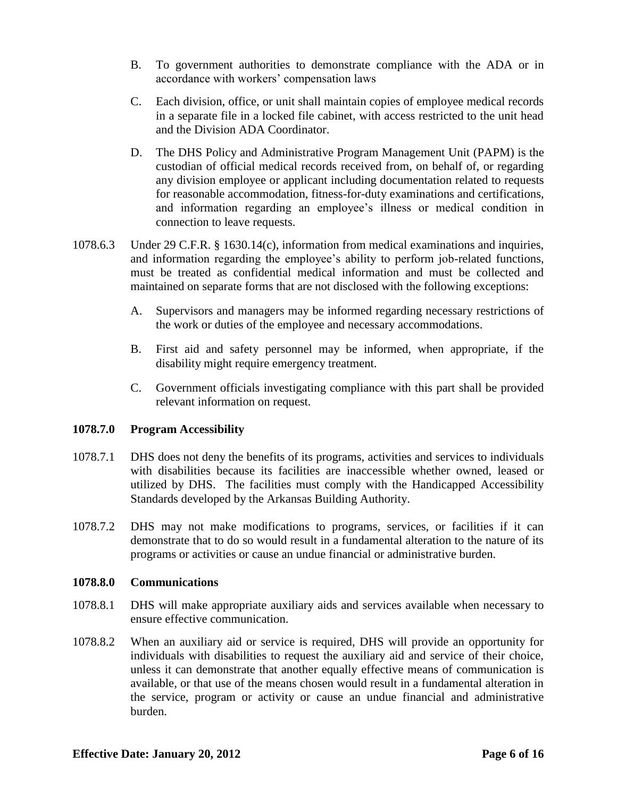- B. To government authorities to demonstrate compliance with the ADA or in accordance with workers' compensation laws
- C. Each division, office, or unit shall maintain copies of employee medical records in a separate file in a locked file cabinet, with access restricted to the unit head and the Division ADA Coordinator.
- D. The DHS Policy and Administrative Program Management Unit (PAPM) is the custodian of official medical records received from, on behalf of, or regarding any division employee or applicant including documentation related to requests for reasonable accommodation, fitness-for-duty examinations and certifications, and information regarding an employee's illness or medical condition in connection to leave requests.
- 1078.6.3 Under 29 C.F.R. § 1630.14(c), information from medical examinations and inquiries, and information regarding the employee's ability to perform job-related functions, must be treated as confidential medical information and must be collected and maintained on separate forms that are not disclosed with the following exceptions:
	- A. Supervisors and managers may be informed regarding necessary restrictions of the work or duties of the employee and necessary accommodations.
	- B. First aid and safety personnel may be informed, when appropriate, if the disability might require emergency treatment.
	- C. Government officials investigating compliance with this part shall be provided relevant information on request.

# **1078.7.0 Program Accessibility**

- 1078.7.1 DHS does not deny the benefits of its programs, activities and services to individuals with disabilities because its facilities are inaccessible whether owned, leased or utilized by DHS. The facilities must comply with the Handicapped Accessibility Standards developed by the Arkansas Building Authority.
- 1078.7.2 DHS may not make modifications to programs, services, or facilities if it can demonstrate that to do so would result in a fundamental alteration to the nature of its programs or activities or cause an undue financial or administrative burden.

#### **1078.8.0 Communications**

- 1078.8.1 DHS will make appropriate auxiliary aids and services available when necessary to ensure effective communication.
- 1078.8.2 When an auxiliary aid or service is required, DHS will provide an opportunity for individuals with disabilities to request the auxiliary aid and service of their choice, unless it can demonstrate that another equally effective means of communication is available, or that use of the means chosen would result in a fundamental alteration in the service, program or activity or cause an undue financial and administrative burden.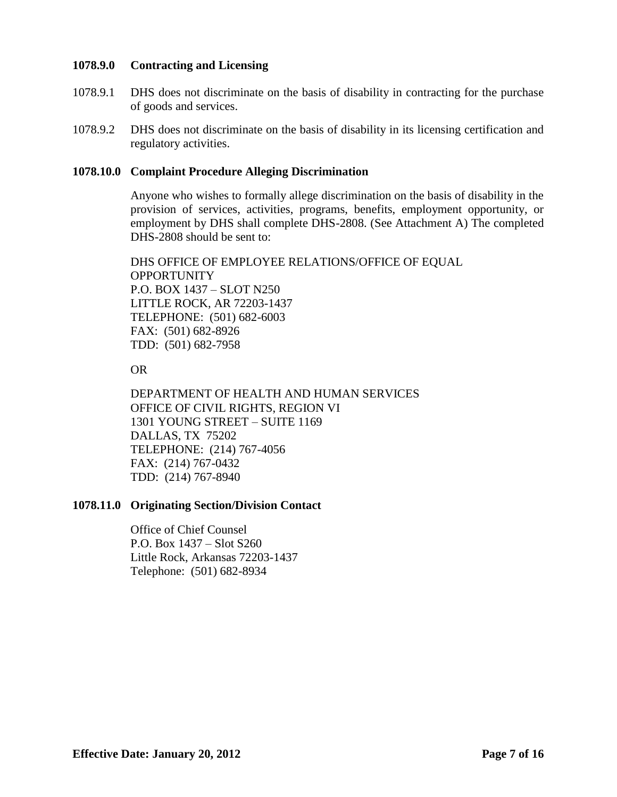## **1078.9.0 Contracting and Licensing**

- 1078.9.1 DHS does not discriminate on the basis of disability in contracting for the purchase of goods and services.
- 1078.9.2 DHS does not discriminate on the basis of disability in its licensing certification and regulatory activities.

## **1078.10.0 Complaint Procedure Alleging Discrimination**

Anyone who wishes to formally allege discrimination on the basis of disability in the provision of services, activities, programs, benefits, employment opportunity, or employment by DHS shall complete DHS-2808. (See Attachment A) The completed DHS-2808 should be sent to:

DHS OFFICE OF EMPLOYEE RELATIONS/OFFICE OF EQUAL OPPORTUNITY P.O. BOX 1437 – SLOT N250 LITTLE ROCK, AR 72203-1437 TELEPHONE: (501) 682-6003 FAX: (501) 682-8926 TDD: (501) 682-7958

OR

DEPARTMENT OF HEALTH AND HUMAN SERVICES OFFICE OF CIVIL RIGHTS, REGION VI 1301 YOUNG STREET – SUITE 1169 DALLAS, TX 75202 TELEPHONE: (214) 767-4056 FAX: (214) 767-0432 TDD: (214) 767-8940

#### **1078.11.0 Originating Section/Division Contact**

Office of Chief Counsel P.O. Box 1437 – Slot S260 Little Rock, Arkansas 72203-1437 Telephone: (501) 682-8934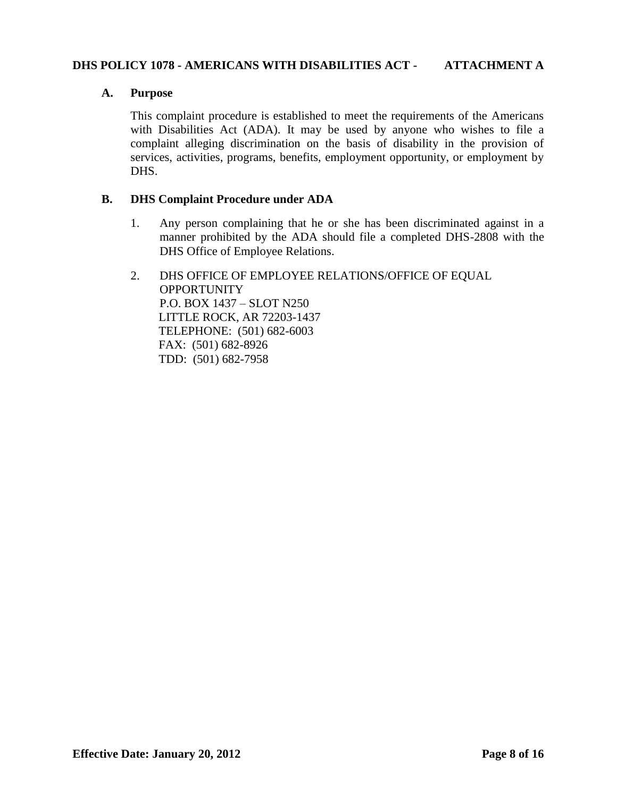## **DHS POLICY 1078 - AMERICANS WITH DISABILITIES ACT - ATTACHMENT A**

## **A. Purpose**

This complaint procedure is established to meet the requirements of the Americans with Disabilities Act (ADA). It may be used by anyone who wishes to file a complaint alleging discrimination on the basis of disability in the provision of services, activities, programs, benefits, employment opportunity, or employment by DHS.

## **B. DHS Complaint Procedure under ADA**

- 1. Any person complaining that he or she has been discriminated against in a manner prohibited by the ADA should file a completed DHS-2808 with the DHS Office of Employee Relations.
- 2. DHS OFFICE OF EMPLOYEE RELATIONS/OFFICE OF EQUAL **OPPORTUNITY** P.O. BOX 1437 – SLOT N250 LITTLE ROCK, AR 72203-1437 TELEPHONE: (501) 682-6003 FAX: (501) 682-8926 TDD: (501) 682-7958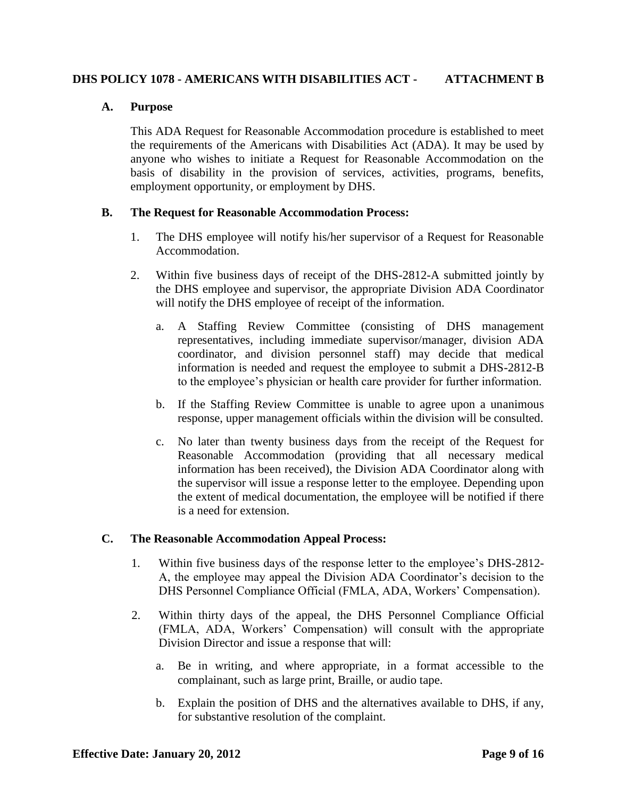# **DHS POLICY 1078 - AMERICANS WITH DISABILITIES ACT - ATTACHMENT B**

# **A. Purpose**

This ADA Request for Reasonable Accommodation procedure is established to meet the requirements of the Americans with Disabilities Act (ADA). It may be used by anyone who wishes to initiate a Request for Reasonable Accommodation on the basis of disability in the provision of services, activities, programs, benefits, employment opportunity, or employment by DHS.

# **B. The Request for Reasonable Accommodation Process:**

- 1. The DHS employee will notify his/her supervisor of a Request for Reasonable Accommodation.
- 2. Within five business days of receipt of the DHS-2812-A submitted jointly by the DHS employee and supervisor, the appropriate Division ADA Coordinator will notify the DHS employee of receipt of the information.
	- a. A Staffing Review Committee (consisting of DHS management representatives, including immediate supervisor/manager, division ADA coordinator, and division personnel staff) may decide that medical information is needed and request the employee to submit a DHS-2812-B to the employee's physician or health care provider for further information.
	- b. If the Staffing Review Committee is unable to agree upon a unanimous response, upper management officials within the division will be consulted.
	- c. No later than twenty business days from the receipt of the Request for Reasonable Accommodation (providing that all necessary medical information has been received), the Division ADA Coordinator along with the supervisor will issue a response letter to the employee. Depending upon the extent of medical documentation, the employee will be notified if there is a need for extension.

# **C. The Reasonable Accommodation Appeal Process:**

- 1. Within five business days of the response letter to the employee's DHS-2812- A, the employee may appeal the Division ADA Coordinator's decision to the DHS Personnel Compliance Official (FMLA, ADA, Workers' Compensation).
- 2. Within thirty days of the appeal, the DHS Personnel Compliance Official (FMLA, ADA, Workers' Compensation) will consult with the appropriate Division Director and issue a response that will:
	- a. Be in writing, and where appropriate, in a format accessible to the complainant, such as large print, Braille, or audio tape.
	- b. Explain the position of DHS and the alternatives available to DHS, if any, for substantive resolution of the complaint.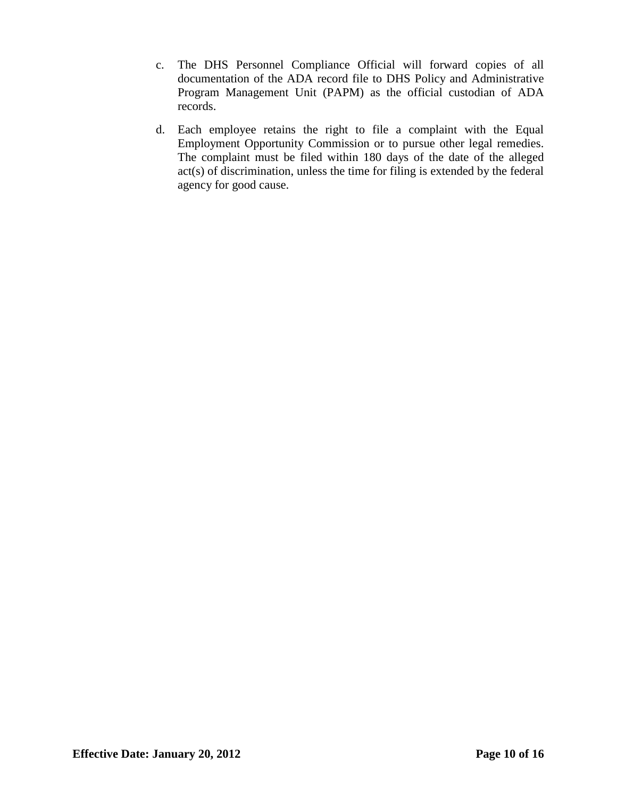- c. The DHS Personnel Compliance Official will forward copies of all documentation of the ADA record file to DHS Policy and Administrative Program Management Unit (PAPM) as the official custodian of ADA records.
- d. Each employee retains the right to file a complaint with the Equal Employment Opportunity Commission or to pursue other legal remedies. The complaint must be filed within 180 days of the date of the alleged act(s) of discrimination, unless the time for filing is extended by the federal agency for good cause.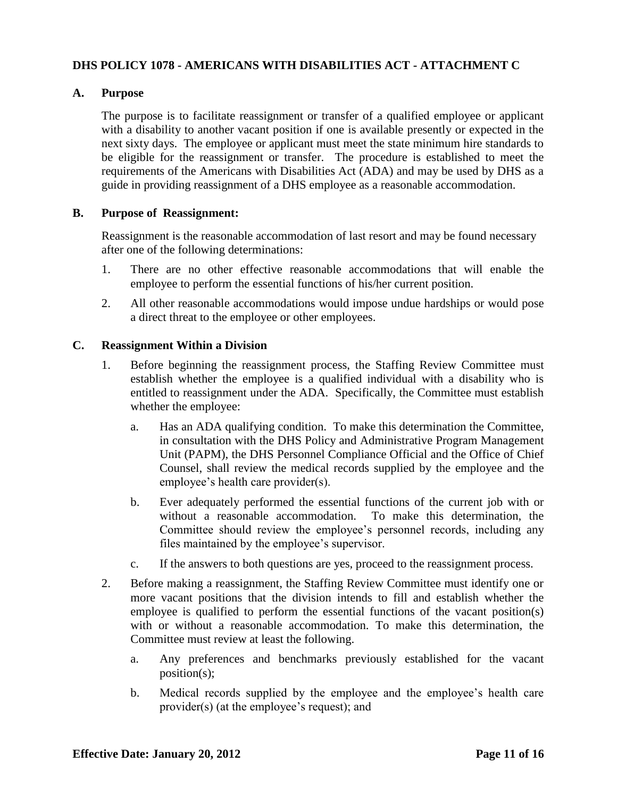# **DHS POLICY 1078 - AMERICANS WITH DISABILITIES ACT - ATTACHMENT C**

# **A. Purpose**

The purpose is to facilitate reassignment or transfer of a qualified employee or applicant with a disability to another vacant position if one is available presently or expected in the next sixty days. The employee or applicant must meet the state minimum hire standards to be eligible for the reassignment or transfer. The procedure is established to meet the requirements of the Americans with Disabilities Act (ADA) and may be used by DHS as a guide in providing reassignment of a DHS employee as a reasonable accommodation.

# **B. Purpose of Reassignment:**

Reassignment is the reasonable accommodation of last resort and may be found necessary after one of the following determinations:

- 1. There are no other effective reasonable accommodations that will enable the employee to perform the essential functions of his/her current position.
- 2. All other reasonable accommodations would impose undue hardships or would pose a direct threat to the employee or other employees.

# **C. Reassignment Within a Division**

- 1. Before beginning the reassignment process, the Staffing Review Committee must establish whether the employee is a qualified individual with a disability who is entitled to reassignment under the ADA. Specifically, the Committee must establish whether the employee:
	- a. Has an ADA qualifying condition. To make this determination the Committee, in consultation with the DHS Policy and Administrative Program Management Unit (PAPM), the DHS Personnel Compliance Official and the Office of Chief Counsel, shall review the medical records supplied by the employee and the employee's health care provider(s).
	- b. Ever adequately performed the essential functions of the current job with or without a reasonable accommodation. To make this determination, the Committee should review the employee's personnel records, including any files maintained by the employee's supervisor.
	- c. If the answers to both questions are yes, proceed to the reassignment process.
- 2. Before making a reassignment, the Staffing Review Committee must identify one or more vacant positions that the division intends to fill and establish whether the employee is qualified to perform the essential functions of the vacant position(s) with or without a reasonable accommodation. To make this determination, the Committee must review at least the following.
	- a. Any preferences and benchmarks previously established for the vacant position(s);
	- b. Medical records supplied by the employee and the employee's health care provider(s) (at the employee's request); and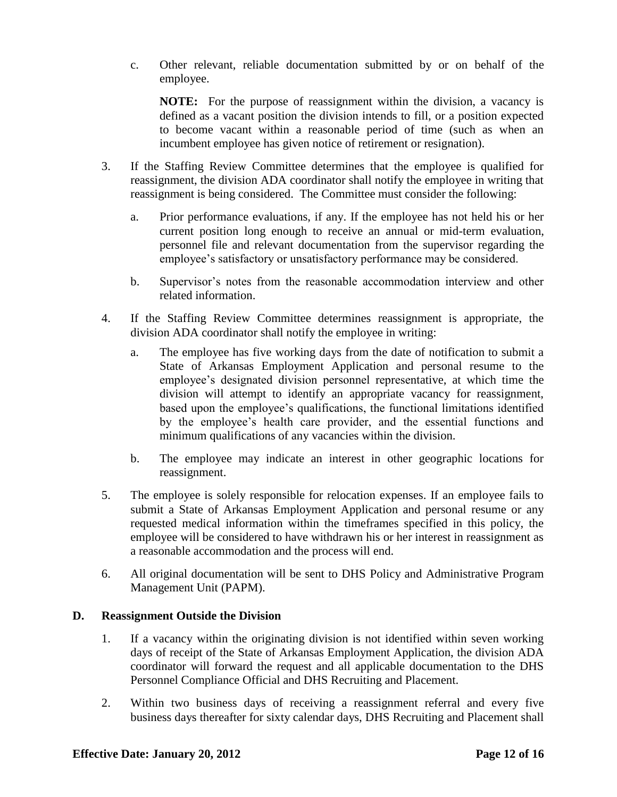c. Other relevant, reliable documentation submitted by or on behalf of the employee.

**NOTE:** For the purpose of reassignment within the division, a vacancy is defined as a vacant position the division intends to fill, or a position expected to become vacant within a reasonable period of time (such as when an incumbent employee has given notice of retirement or resignation).

- 3. If the Staffing Review Committee determines that the employee is qualified for reassignment, the division ADA coordinator shall notify the employee in writing that reassignment is being considered. The Committee must consider the following:
	- a. Prior performance evaluations, if any. If the employee has not held his or her current position long enough to receive an annual or mid-term evaluation, personnel file and relevant documentation from the supervisor regarding the employee's satisfactory or unsatisfactory performance may be considered.
	- b. Supervisor's notes from the reasonable accommodation interview and other related information.
- 4. If the Staffing Review Committee determines reassignment is appropriate, the division ADA coordinator shall notify the employee in writing:
	- a. The employee has five working days from the date of notification to submit a State of Arkansas Employment Application and personal resume to the employee's designated division personnel representative, at which time the division will attempt to identify an appropriate vacancy for reassignment, based upon the employee's qualifications, the functional limitations identified by the employee's health care provider, and the essential functions and minimum qualifications of any vacancies within the division.
	- b. The employee may indicate an interest in other geographic locations for reassignment.
- 5. The employee is solely responsible for relocation expenses. If an employee fails to submit a State of Arkansas Employment Application and personal resume or any requested medical information within the timeframes specified in this policy, the employee will be considered to have withdrawn his or her interest in reassignment as a reasonable accommodation and the process will end.
- 6. All original documentation will be sent to DHS Policy and Administrative Program Management Unit (PAPM).

# **D. Reassignment Outside the Division**

- 1. If a vacancy within the originating division is not identified within seven working days of receipt of the State of Arkansas Employment Application, the division ADA coordinator will forward the request and all applicable documentation to the DHS Personnel Compliance Official and DHS Recruiting and Placement.
- 2. Within two business days of receiving a reassignment referral and every five business days thereafter for sixty calendar days, DHS Recruiting and Placement shall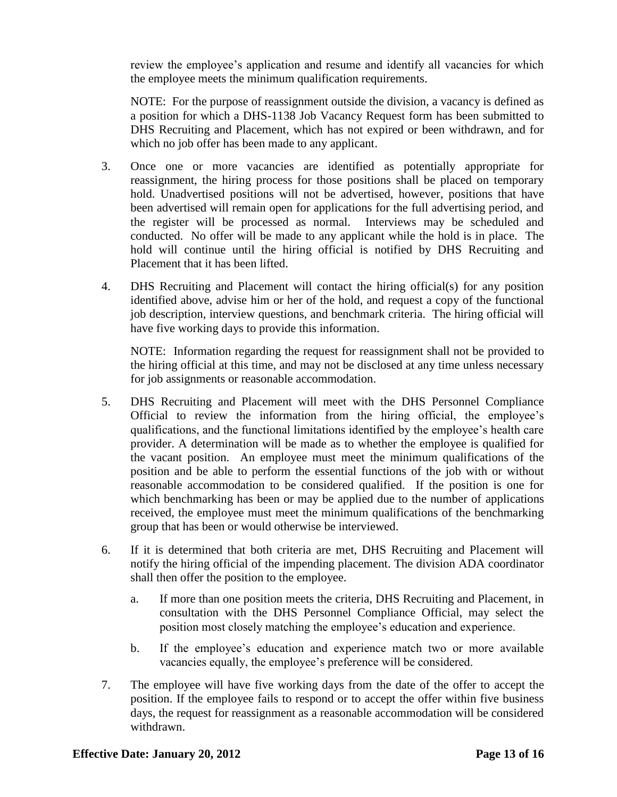review the employee's application and resume and identify all vacancies for which the employee meets the minimum qualification requirements.

NOTE: For the purpose of reassignment outside the division, a vacancy is defined as a position for which a DHS-1138 Job Vacancy Request form has been submitted to DHS Recruiting and Placement, which has not expired or been withdrawn, and for which no job offer has been made to any applicant.

- 3. Once one or more vacancies are identified as potentially appropriate for reassignment, the hiring process for those positions shall be placed on temporary hold. Unadvertised positions will not be advertised, however, positions that have been advertised will remain open for applications for the full advertising period, and the register will be processed as normal. Interviews may be scheduled and conducted. No offer will be made to any applicant while the hold is in place. The hold will continue until the hiring official is notified by DHS Recruiting and Placement that it has been lifted.
- 4. DHS Recruiting and Placement will contact the hiring official(s) for any position identified above, advise him or her of the hold, and request a copy of the functional job description, interview questions, and benchmark criteria. The hiring official will have five working days to provide this information.

NOTE: Information regarding the request for reassignment shall not be provided to the hiring official at this time, and may not be disclosed at any time unless necessary for job assignments or reasonable accommodation.

- 5. DHS Recruiting and Placement will meet with the DHS Personnel Compliance Official to review the information from the hiring official, the employee's qualifications, and the functional limitations identified by the employee's health care provider. A determination will be made as to whether the employee is qualified for the vacant position. An employee must meet the minimum qualifications of the position and be able to perform the essential functions of the job with or without reasonable accommodation to be considered qualified. If the position is one for which benchmarking has been or may be applied due to the number of applications received, the employee must meet the minimum qualifications of the benchmarking group that has been or would otherwise be interviewed.
- 6. If it is determined that both criteria are met, DHS Recruiting and Placement will notify the hiring official of the impending placement. The division ADA coordinator shall then offer the position to the employee.
	- a. If more than one position meets the criteria, DHS Recruiting and Placement, in consultation with the DHS Personnel Compliance Official, may select the position most closely matching the employee's education and experience.
	- b. If the employee's education and experience match two or more available vacancies equally, the employee's preference will be considered.
- 7. The employee will have five working days from the date of the offer to accept the position. If the employee fails to respond or to accept the offer within five business days, the request for reassignment as a reasonable accommodation will be considered withdrawn.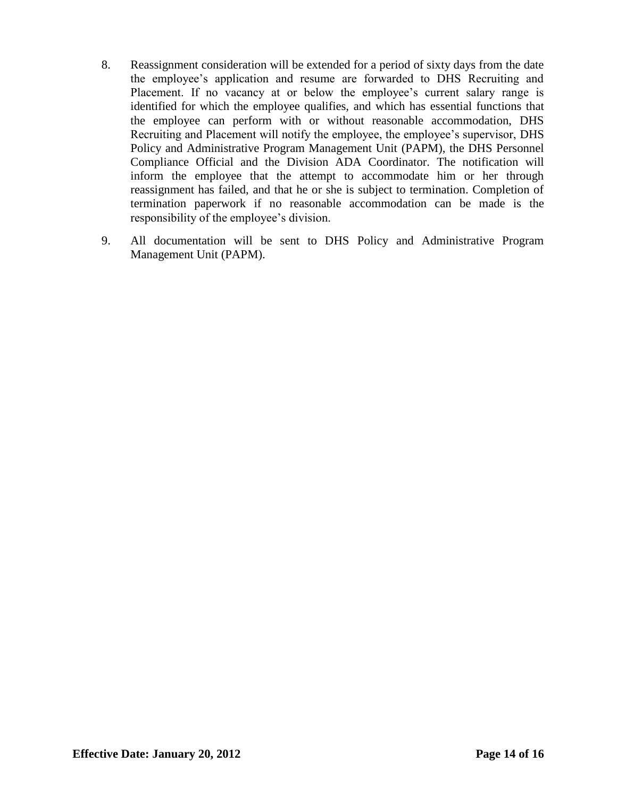- 8. Reassignment consideration will be extended for a period of sixty days from the date the employee's application and resume are forwarded to DHS Recruiting and Placement. If no vacancy at or below the employee's current salary range is identified for which the employee qualifies, and which has essential functions that the employee can perform with or without reasonable accommodation, DHS Recruiting and Placement will notify the employee, the employee's supervisor, DHS Policy and Administrative Program Management Unit (PAPM), the DHS Personnel Compliance Official and the Division ADA Coordinator. The notification will inform the employee that the attempt to accommodate him or her through reassignment has failed, and that he or she is subject to termination. Completion of termination paperwork if no reasonable accommodation can be made is the responsibility of the employee's division.
- 9. All documentation will be sent to DHS Policy and Administrative Program Management Unit (PAPM).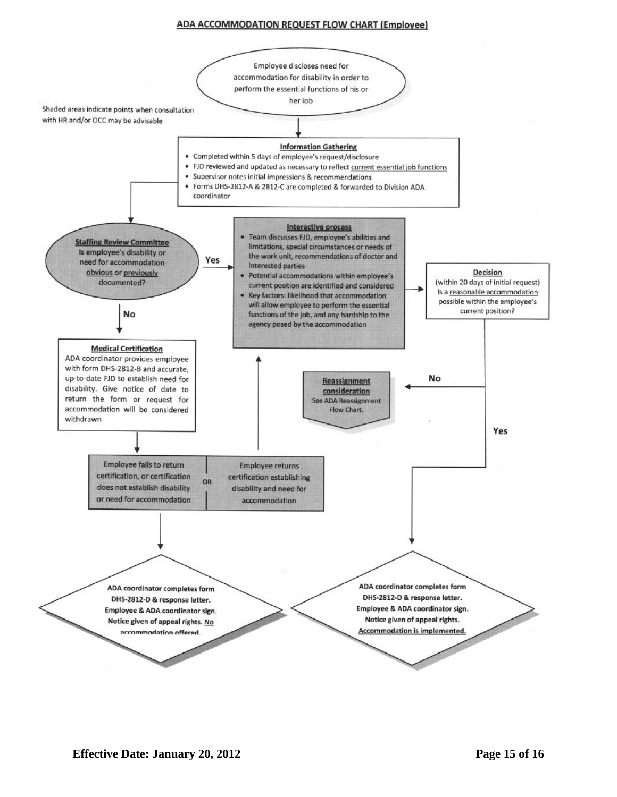#### **ADA ACCOMMODATION REQUEST FLOW CHART (Employee)**